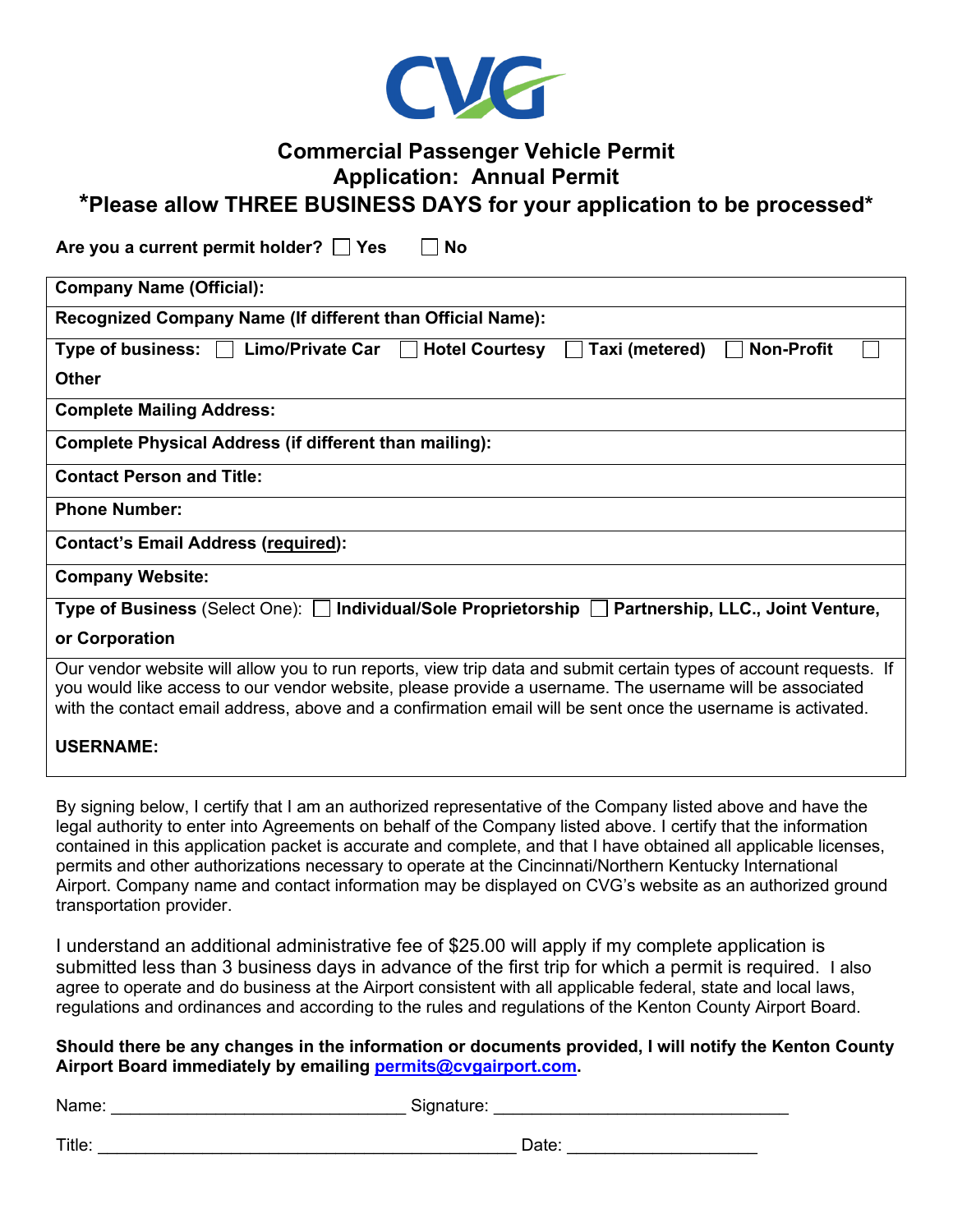

## **Commercial Passenger Vehicle Permit Application: Annual Permit**

## **\*Please allow THREE BUSINESS DAYS for your application to be processed\***

Are you a current permit holder?  $\Box$  Yes  $\Box$  No

| <b>Company Name (Official):</b>                                                                                                                                                                                                                                                                                                             |
|---------------------------------------------------------------------------------------------------------------------------------------------------------------------------------------------------------------------------------------------------------------------------------------------------------------------------------------------|
| Recognized Company Name (If different than Official Name):                                                                                                                                                                                                                                                                                  |
| <b>Non-Profit</b><br>Limo/Private Car<br><b>Hotel Courtesy</b><br>Type of business:<br>Taxi (metered)<br>$\mathbf{I}$                                                                                                                                                                                                                       |
| <b>Other</b>                                                                                                                                                                                                                                                                                                                                |
| <b>Complete Mailing Address:</b>                                                                                                                                                                                                                                                                                                            |
| <b>Complete Physical Address (if different than mailing):</b>                                                                                                                                                                                                                                                                               |
| <b>Contact Person and Title:</b>                                                                                                                                                                                                                                                                                                            |
| <b>Phone Number:</b>                                                                                                                                                                                                                                                                                                                        |
| <b>Contact's Email Address (required):</b>                                                                                                                                                                                                                                                                                                  |
| <b>Company Website:</b>                                                                                                                                                                                                                                                                                                                     |
| Type of Business (Select One): $\Box$ Individual/Sole Proprietorship $\Box$ Partnership, LLC., Joint Venture,                                                                                                                                                                                                                               |
| or Corporation                                                                                                                                                                                                                                                                                                                              |
| Our vendor website will allow you to run reports, view trip data and submit certain types of account requests. If<br>you would like access to our vendor website, please provide a username. The username will be associated<br>with the contact email address, above and a confirmation email will be sent once the username is activated. |
| <b>USERNAME:</b>                                                                                                                                                                                                                                                                                                                            |

By signing below, I certify that I am an authorized representative of the Company listed above and have the legal authority to enter into Agreements on behalf of the Company listed above. I certify that the information contained in this application packet is accurate and complete, and that I have obtained all applicable licenses, permits and other authorizations necessary to operate at the Cincinnati/Northern Kentucky International Airport. Company name and contact information may be displayed on CVG's website as an authorized ground transportation provider.

I understand an additional administrative fee of \$25.00 will apply if my complete application is submitted less than 3 business days in advance of the first trip for which a permit is required. I also agree to operate and do business at the Airport consistent with all applicable federal, state and local laws, regulations and ordinances and according to the rules and regulations of the Kenton County Airport Board.

## **Should there be any changes in the information or documents provided, I will notify the Kenton County Airport Board immediately by emailing [permits@cvgairport.com.](mailto:permits@cvgairport.com)**

| Name:<br>Signature: |
|---------------------|
|---------------------|

Title: \_\_\_\_\_\_\_\_\_\_\_\_\_\_\_\_\_\_\_\_\_\_\_\_\_\_\_\_\_\_\_\_\_\_\_\_\_\_\_\_\_\_\_\_ Date: \_\_\_\_\_\_\_\_\_\_\_\_\_\_\_\_\_\_\_\_